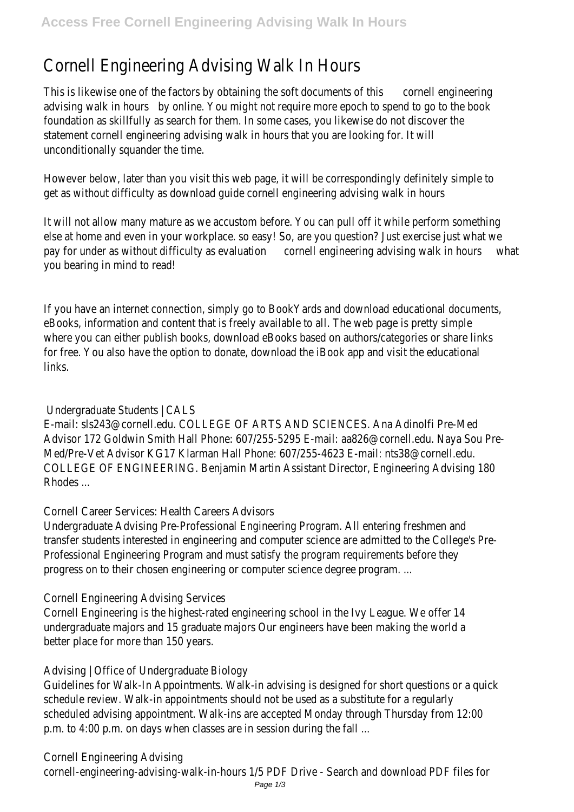# Cornell Engineering Advising Walk In Hours

This is likewise one of the factors by obtaining the soft documents of this cornell engineering advising walk in hours by online. You might not require more epoch to spend to go to the book foundation as skillfully as search for them. In some cases, you likewise do not discover the statement cornell engineering advising walk in hours that you are looking for. It will unconditionally squander the time.

However below, later than you visit this web page, it will be correspondingly definitely simple to get as without difficulty as download guide cornell engineering advising walk in hours

It will not allow many mature as we accustom before. You can pull off it while perform something else at home and even in your workplace. so easy! So, are you question? Just exercise just what we pay for under as without difficulty as evaluation cornell engineering advising walk in hours what you bearing in mind to read!

If you have an internet connection, simply go to BookYards and download educational documents, eBooks, information and content that is freely available to all. The web page is pretty simple where you can either publish books, download eBooks based on authors/categories or share links for free. You also have the option to donate, download the iBook app and visit the educational links.

### Undergraduate Students | CALS

E-mail: sls243@cornell.edu. COLLEGE OF ARTS AND SCIENCES. Ana Adinolfi Pre-Med Advisor 172 Goldwin Smith Hall Phone: 607/255-5295 E-mail: aa826@cornell.edu. Naya Sou Pre-Med/Pre-Vet Advisor KG17 Klarman Hall Phone: 607/255-4623 E-mail: nts38@cornell.edu. COLLEGE OF ENGINEERING. Benjamin Martin Assistant Director, Engineering Advising 180 Rhodes ...

#### Cornell Career Services: Health Careers Advisors

Undergraduate Advising Pre-Professional Engineering Program. All entering freshmen and transfer students interested in engineering and computer science are admitted to the College's Pre-Professional Engineering Program and must satisfy the program requirements before they progress on to their chosen engineering or computer science degree program. ...

Cornell Engineering Advising Services

Cornell Engineering is the highest-rated engineering school in the Ivy League. We offer 14 undergraduate majors and 15 graduate majors Our engineers have been making the world a better place for more than 150 years.

# Advising | Office of Undergraduate Biology

Guidelines for Walk-In Appointments. Walk-in advising is designed for short questions or a quick schedule review. Walk-in appointments should not be used as a substitute for a regularly scheduled advising appointment. Walk-ins are accepted Monday through Thursday from 12:00 p.m. to 4:00 p.m. on days when classes are in session during the fall ...

# Cornell Engineering Advising

cornell-engineering-advising-walk-in-hours 1/5 PDF Drive - Search and download PDF files for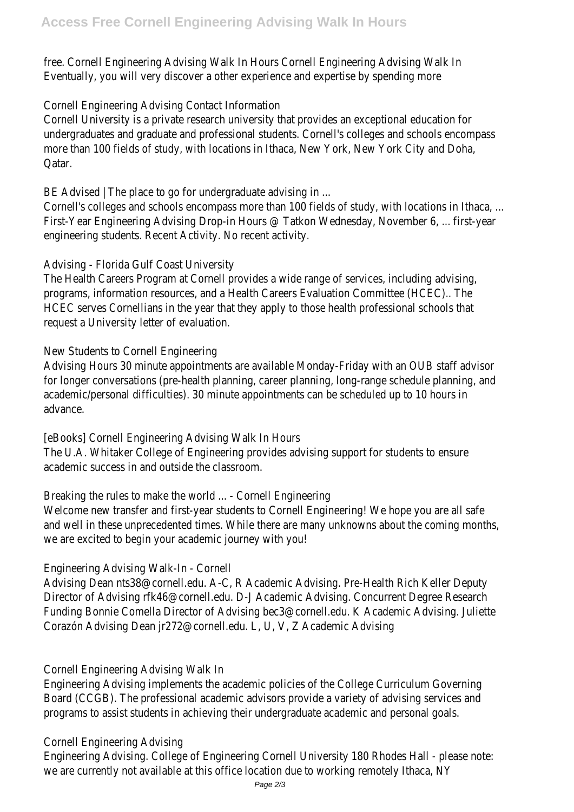free. Cornell Engineering Advising Walk In Hours Cornell Engineering Advising Walk In Eventually, you will very discover a other experience and expertise by spending more

#### Cornell Engineering Advising Contact Information

Cornell University is a private research university that provides an exceptional education for undergraduates and graduate and professional students. Cornell's colleges and schools encompass more than 100 fields of study, with locations in Ithaca, New York, New York City and Doha, Qatar.

BE Advised | The place to go for undergraduate advising in ...

Cornell's colleges and schools encompass more than 100 fields of study, with locations in Ithaca, ... First-Year Engineering Advising Drop-in Hours @ Tatkon Wednesday, November 6, ... first-year engineering students. Recent Activity. No recent activity.

#### Advising - Florida Gulf Coast University

The Health Careers Program at Cornell provides a wide range of services, including advising, programs, information resources, and a Health Careers Evaluation Committee (HCEC).. The HCEC serves Cornellians in the year that they apply to those health professional schools that request a University letter of evaluation.

# New Students to Cornell Engineering

Advising Hours 30 minute appointments are available Monday-Friday with an OUB staff advisor for longer conversations (pre-health planning, career planning, long-range schedule planning, and academic/personal difficulties). 30 minute appointments can be scheduled up to 10 hours in advance.

[eBooks] Cornell Engineering Advising Walk In Hours The U.A. Whitaker College of Engineering provides advising support for students to ensure academic success in and outside the classroom.

Breaking the rules to make the world ... - Cornell Engineering

Welcome new transfer and first-year students to Cornell Engineering! We hope you are all safe and well in these unprecedented times. While there are many unknowns about the coming months, we are excited to begin your academic journey with you!

# Engineering Advising Walk-In - Cornell

Advising Dean nts38@cornell.edu. A-C, R Academic Advising. Pre-Health Rich Keller Deputy Director of Advising rfk46@cornell.edu. D-J Academic Advising. Concurrent Degree Research Funding Bonnie Comella Director of Advising bec3@cornell.edu. K Academic Advising. Juliette Corazón Advising Dean jr272@cornell.edu. L, U, V, Z Academic Advising

# Cornell Engineering Advising Walk In

Engineering Advising implements the academic policies of the College Curriculum Governing Board (CCGB). The professional academic advisors provide a variety of advising services and programs to assist students in achieving their undergraduate academic and personal goals.

#### Cornell Engineering Advising

Engineering Advising. College of Engineering Cornell University 180 Rhodes Hall - please note: we are currently not available at this office location due to working remotely Ithaca, NY